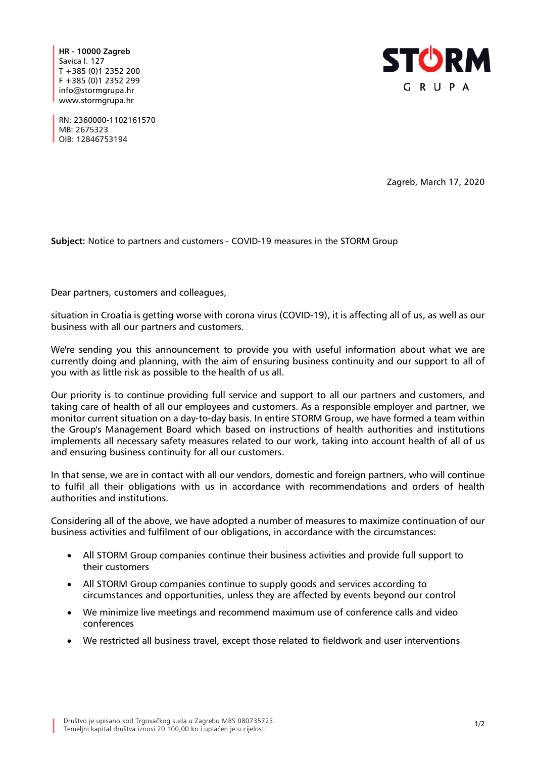**HR - 10000 Zagreb** Savica I. 127 T +385 (0)1 2352 200 F +385 (0)1 2352 299 info@stormgrupa.hr www.stormgrupa.hr



RN: 2360000-1102161570 MB: 2675323 OIB: 12846753194

Zagreb, March 17, 2020

**Subject:** Notice to partners and customers - COVID-19 measures in the STORM Group

Dear partners, customers and colleagues,

situation in Croatia is getting worse with corona virus (COVID-19), it is affecting all of us, as well as our business with all our partners and customers.

We're sending you this announcement to provide you with useful information about what we are currently doing and planning, with the aim of ensuring business continuity and our support to all of you with as little risk as possible to the health of us all.

Our priority is to continue providing full service and support to all our partners and customers, and taking care of health of all our employees and customers. As a responsible employer and partner, we monitor current situation on a day-to-day basis. In entire STORM Group, we have formed a team within the Group's Management Board which based on instructions of health authorities and institutions implements all necessary safety measures related to our work, taking into account health of all of us and ensuring business continuity for all our customers.

In that sense, we are in contact with all our vendors, domestic and foreign partners, who will continue to fulfil all their obligations with us in accordance with recommendations and orders of health authorities and institutions.

Considering all of the above, we have adopted a number of measures to maximize continuation of our business activities and fulfilment of our obligations, in accordance with the circumstances:

- All STORM Group companies continue their business activities and provide full support to their customers
- All STORM Group companies continue to supply goods and services according to circumstances and opportunities, unless they are affected by events beyond our control
- We minimize live meetings and recommend maximum use of conference calls and video conferences
- We restricted all business travel, except those related to fieldwork and user interventions